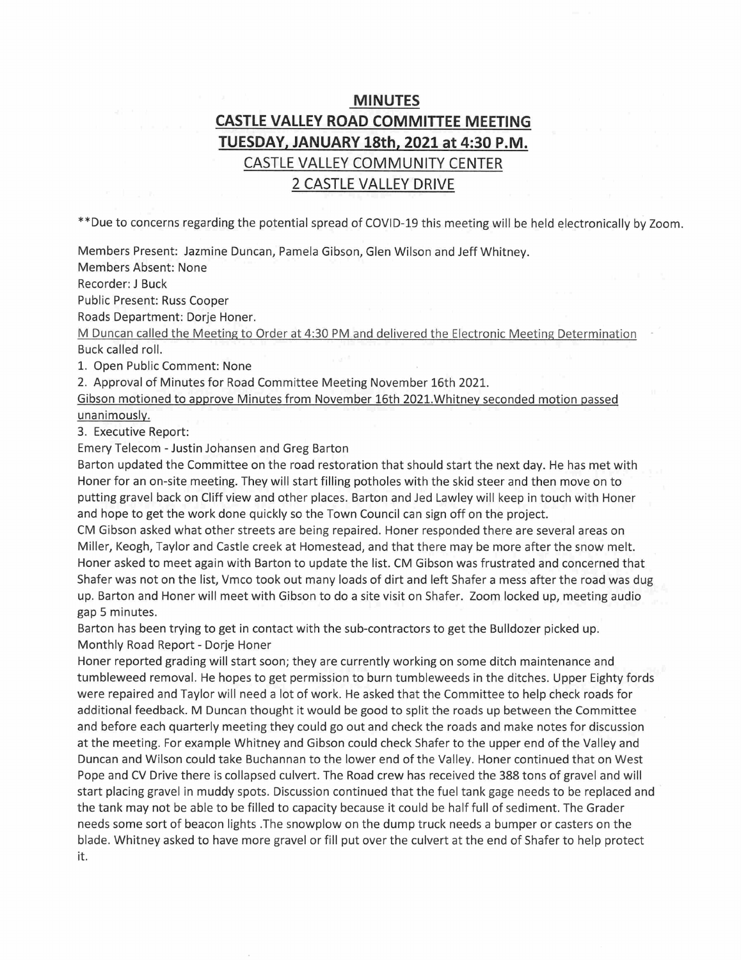# MINUTES CASTLE VALLEY ROAD COMMITTEE MEETING TUESDAY. JANUARY 18th. 2021 at 4:30 P.M. CASTLE VALLEY COMMUNITY CENTER 2 CASTLE VALLEY DRIVE

\*\*Due to concerns regarding the potential spread of COViD-19 this meeting will be held electronically by Zoom.

Members Present: Jazmine Duncan, Pamela Gibson, Glen Wilson and Jeff Whitney.

Members Absent: None

Recorder: J Buck

Public Present: Russ Cooper

Roads Department: Dorje Honer.

M Duncan called the Meeting to Order at 4:30 PM and delivered the Electronic Meeting Determination Buck called roll.

1. Open Public Comment: None

2. Approval of Minutes for Road Committee Meeting November 16th 2021.

Gibson motioned to approve Minutes from November 16th 2021.Whitney seconded motion passed unanimously.

3. Executive Report:

Emery Telecom - Justin Johansen and Greg Barton

Barton updated the Committee on the road restoration that should start the next day. He has met with Honer for an on-site meeting. They will start filling potholes with the skid steer and then move on to putting gravel back on Cliff view and other places. Barton and Jed Lawley will keep in touch with Honer and hope to get the work done quickly so the Town Council can sign off on the project.

CM Gibson asked what other streets are being repaired. Honer responded there are several areas on Miller, Keogh, Taylor and Castle creek at Homestead, and that there may be more after the snow melt. Honer asked to meet again with Barton to update the list. CM Gibson was frustrated and concerned that Shafer was not on the list, Vmco took out many loads of dirt and left Shafer a mess after the road was dug up. Barton and Honer will meet with Gibson to do a site visit on Shafer. Zoom locked up, meeting audio gap 5 minutes.

Barton has been trying to get in contact with the sub-contractors to get the Bulldozer picked up. Monthly Road Report - Dorje Honer

Honer reported grading will start soon; they are currently working on some ditch maintenance and tumbleweed removal. He hopes to get permission to burn tumbleweeds in the ditches. Upper Eighty fords were repaired and Taylor will need a lot of work. He asked that the Committee to help check roads for additional feedback. M Duncan thought it would be good to split the roads up between the Committee and before each quarterly meeting they could go out and check the roads and make notes for discussion at the meeting. For example Whitney and Gibson could check Shafer to the upper end of the Valley and Duncan and Wilson could take Buchannan to the lower end of the Valley. Honer continued that on West Pope and CV Drive there is collapsed culvert. The Road crew has received the 388 tons of gravel and will start placing gravel in muddy spots. Discussion continued that the fuel tank gage needs to be replaced and the tank may not be able to be filled to capacity because it could be half full of sediment. The Grader needs some sort of beacon lights .The snowplow on the dump truck needs a bumper or casters on the blade. Whitney asked to have more gravel or fill put over the culvert at the end of Shafer to help protect it.